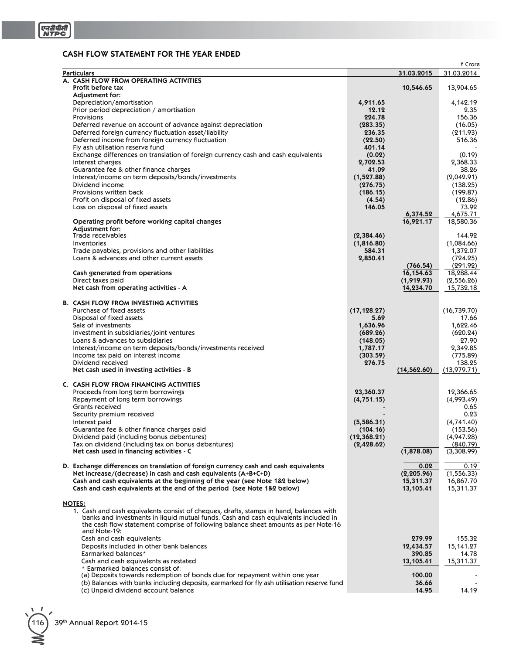## **CASH FLOW STATEMENT FOR THE YEAR ENDED**

|                                                                                                                                                                           |                    |                     | ₹ Crore            |
|---------------------------------------------------------------------------------------------------------------------------------------------------------------------------|--------------------|---------------------|--------------------|
| <b>Particulars</b>                                                                                                                                                        |                    | 31.03.2015          | 31.03.2014         |
| A. CASH FLOW FROM OPERATING ACTIVITIES                                                                                                                                    |                    |                     |                    |
| Profit before tax<br>Adjustment for:                                                                                                                                      |                    | 10,546.65           | 13,904.65          |
| Depreciation/amortisation                                                                                                                                                 | 4,911.65           |                     | 4,142.19           |
| Prior period depreciation / amortisation                                                                                                                                  | 12.12              |                     | 2.35               |
| Provisions                                                                                                                                                                | 224.78             |                     | 156.36             |
| Deferred revenue on account of advance against depreciation                                                                                                               | (283.35)           |                     | (16.05)            |
| Deferred foreign currency fluctuation asset/liability                                                                                                                     | 236.35             |                     | (211.93)           |
| Deferred income from foreign currency fluctuation                                                                                                                         | (22.50)            |                     | 516.36             |
| Fly ash utilisation reserve fund                                                                                                                                          | 401.14             |                     |                    |
| Exchange differences on translation of foreign currency cash and cash equivalents                                                                                         | (0.02)             |                     | (0.19)             |
| Interest charges<br>Guarantee fee & other finance charges                                                                                                                 | 2,702.53<br>41.09  |                     | 2,368.33<br>38.26  |
| Interest/income on term deposits/bonds/investments                                                                                                                        | (1,527.88)         |                     | (2,042.91)         |
| Dividend income                                                                                                                                                           | (276.75)           |                     | (138.25)           |
| Provisions written back                                                                                                                                                   | (186.15)           |                     | (199.87)           |
| Profit on disposal of fixed assets                                                                                                                                        | (4.54)             |                     | (12.86)            |
| Loss on disposal of fixed assets                                                                                                                                          | 146.05             |                     | 73.92              |
|                                                                                                                                                                           |                    | 6,374.52            | 4,675.71           |
| Operating profit before working capital changes<br>Adjustment for:                                                                                                        |                    | 16,921.17           | 18,580.36          |
| Trade receivables                                                                                                                                                         | (2,384.46)         |                     | 144.92             |
| Inventories                                                                                                                                                               | (1,816.80)         |                     | (1,084.66)         |
| Trade payables, provisions and other liabilities                                                                                                                          | 584.31             |                     | 1,372.07           |
| Loans & advances and other current assets                                                                                                                                 | 2,850.41           |                     | (724.25)           |
|                                                                                                                                                                           |                    | (766.54)            | (291.92)           |
| Cash generated from operations                                                                                                                                            |                    | 16,154.63           | 18,288.44          |
| Direct taxes paid                                                                                                                                                         |                    | (1,919.93)          | (2,556.26)         |
| Net cash from operating activities - A                                                                                                                                    |                    | 14,234.70           | 15,732.18          |
| <b>B. CASH FLOW FROM INVESTING ACTIVITIES</b>                                                                                                                             |                    |                     |                    |
| Purchase of fixed assets                                                                                                                                                  | (17, 128.27)       |                     | (16, 739.70)       |
| Disposal of fixed assets                                                                                                                                                  | 5.69               |                     | 17.66              |
| Sale of investments                                                                                                                                                       | 1,636.96           |                     | 1,622.46           |
| Investment in subsidiaries/joint ventures                                                                                                                                 | (689.26)           |                     | (620.24)           |
| Loans & advances to subsidiaries                                                                                                                                          | (148.05)           |                     | 27.90              |
| Interest/income on term deposits/bonds/investments received                                                                                                               | 1,787.17           |                     | 2,349.85           |
| Income tax paid on interest income<br>Dividend received                                                                                                                   | (303.59)<br>276.75 |                     | (775.89)<br>138.25 |
| Net cash used in investing activities - B                                                                                                                                 |                    | (14, 562.60)        | (13,979.71)        |
|                                                                                                                                                                           |                    |                     |                    |
| C. CASH FLOW FROM FINANCING ACTIVITIES                                                                                                                                    |                    |                     |                    |
| Proceeds from long term borrowings                                                                                                                                        | 23,360.37          |                     | 12,366.65          |
| Repayment of long term borrowings                                                                                                                                         | (4, 751.15)        |                     | (4,993.49)         |
| Grants received<br>Security premium received                                                                                                                              |                    |                     | 0.65<br>0.23       |
| Interest paid                                                                                                                                                             | (5,586.31)         |                     | (4,741.40)         |
| Guarantee fee & other finance charges paid                                                                                                                                | (104.16)           |                     | (153.56)           |
| Dividend paid (including bonus debentures)                                                                                                                                | (12,368.21)        |                     | (4,947.28)         |
| Tax on dividend (including tax on bonus debentures)                                                                                                                       | (2,428.62)         |                     | (840.79)           |
| Net cash used in financing activities - C                                                                                                                                 |                    | (1,878.08)          | (3,308.99)         |
|                                                                                                                                                                           |                    |                     |                    |
| D. Exchange differences on translation of foreign currency cash and cash equivalents                                                                                      |                    | 0.02<br>(2, 205.96) | 0.19<br>(1,556.33) |
| Net increase/(decrease) in cash and cash equivalents $(A+B+C+D)$<br>Cash and cash equivalents at the beginning of the year (see Note 1&2 below)                           |                    | 15,311.37           | 16,867.70          |
| Cash and cash equivalents at the end of the period (see Note 1&2 below)                                                                                                   |                    | 13,105.41           | 15,311.37          |
|                                                                                                                                                                           |                    |                     |                    |
| <b>NOTES:</b>                                                                                                                                                             |                    |                     |                    |
| 1. Cash and cash equivalents consist of cheques, drafts, stamps in hand, balances with                                                                                    |                    |                     |                    |
| banks and investments in liquid mutual funds. Cash and cash equivalents included in<br>the cash flow statement comprise of following balance sheet amounts as per Note-16 |                    |                     |                    |
| and Note-19:                                                                                                                                                              |                    |                     |                    |
| Cash and cash equivalents                                                                                                                                                 |                    | 279.99              | 155.32             |
| Deposits included in other bank balances                                                                                                                                  |                    | 12,434.57           | 15,141.27          |
| Earmarked balances*                                                                                                                                                       |                    | 390.85              | 14.78              |
| Cash and cash equivalents as restated                                                                                                                                     |                    | 13,105.41           | 15,311.37          |
| * Earmarked balances consist of:                                                                                                                                          |                    |                     |                    |
| (a) Deposits towards redemption of bonds due for repayment within one year<br>(b) Balances with banks including deposits, earmarked for fly ash utilisation reserve fund  |                    | 100.00<br>36.66     |                    |
| (c) Unpaid dividend account balance                                                                                                                                       |                    | 14.95               | 14.19              |
|                                                                                                                                                                           |                    |                     |                    |

116 39th Annual Report 2014-15

⋛